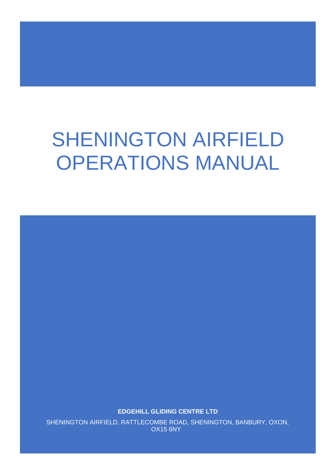# SHENINGTON AIRFIELD OPERATIONS MANUAL

**EDGEHILL GLIDING CENTRE LTD**

SHENINGTON AIRFIELD, RATTLECOMBE ROAD, SHENINGTON, BANBURY, OXON, OX15 6NY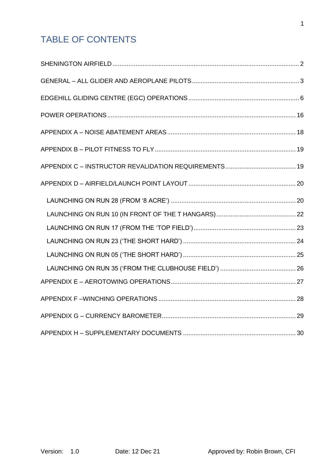# TABLE OF CONTENTS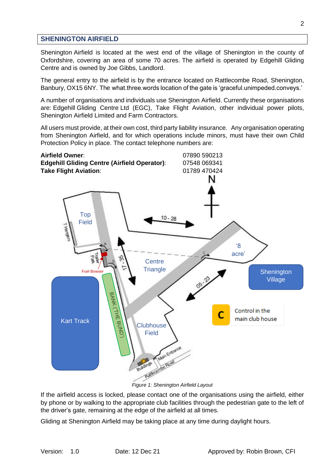# <span id="page-2-0"></span>**SHENINGTON AIRFIELD**

Shenington Airfield is located at the west end of the village of Shenington in the county of Oxfordshire, covering an area of some 70 acres. The airfield is operated by Edgehill Gliding Centre and is owned by Joe Gibbs, Landlord.

The general entry to the airfield is by the entrance located on Rattlecombe Road, Shenington, Banbury, OX15 6NY. The what.three.words location of the gate is 'graceful.unimpeded.conveys.'

A number of organisations and individuals use Shenington Airfield. Currently these organisations are: Edgehill Gliding Centre Ltd (EGC), Take Flight Aviation, other individual power pilots, Shenington Airfield Limited and Farm Contractors.

All users must provide, at their own cost, third party liability insurance. Any organisation operating from Shenington Airfield, and for which operations include minors, must have their own Child Protection Policy in place. The contact telephone numbers are:



<span id="page-2-1"></span>If the airfield access is locked, please contact one of the organisations using the airfield, either by phone or by walking to the appropriate club facilities through the pedestrian gate to the left of the driver's gate, remaining at the edge of the airfield at all times.

Gliding at Shenington Airfield may be taking place at any time during daylight hours.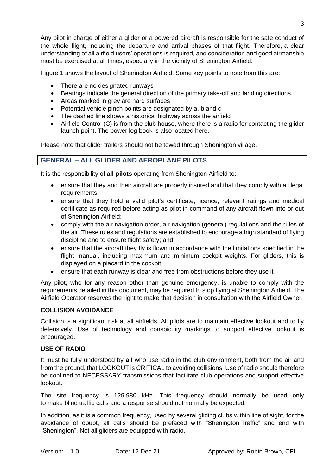Any pilot in charge of either a glider or a powered aircraft is responsible for the safe conduct of the whole flight, including the departure and arrival phases of that flight. Therefore, a clear understanding of all airfield users' operations is required, and consideration and good airmanship must be exercised at all times, especially in the vicinity of Shenington Airfield.

[Figure 1](#page-2-1) shows the layout of Shenington Airfield. Some key points to note from this are:

- There are no designated runways
- Bearings indicate the general direction of the primary take-off and landing directions.
- Areas marked in grey are hard surfaces
- Potential vehicle pinch points are designated by a, b and c
- The dashed line shows a historical highway across the airfield
- Airfield Control (C) is from the club house, where there is a radio for contacting the glider launch point. The power log book is also located here.

<span id="page-3-0"></span>Please note that glider trailers should not be towed through Shenington village.

# **GENERAL – ALL GLIDER AND AEROPLANE PILOTS**

It is the responsibility of **all pilots** operating from Shenington Airfield to:

- ensure that they and their aircraft are properly insured and that they comply with all legal requirements;
- ensure that they hold a valid pilot's certificate, licence, relevant ratings and medical certificate as required before acting as pilot in command of any aircraft flown into or out of Shenington Airfield;
- comply with the air navigation order, air navigation (general) regulations and the rules of the air. These rules and regulations are established to encourage a high standard of flying discipline and to ensure flight safety; and
- ensure that the aircraft they fly is flown in accordance with the limitations specified in the flight manual, including maximum and minimum cockpit weights. For gliders, this is displayed on a placard in the cockpit.
- ensure that each runway is clear and free from obstructions before they use it

Any pilot, who for any reason other than genuine emergency, is unable to comply with the requirements detailed in this document, may be required to stop flying at Shenington Airfield. The Airfield Operator reserves the right to make that decision in consultation with the Airfield Owner.

#### **COLLISION AVOIDANCE**

Collision is a significant risk at all airfields. All pilots are to maintain effective lookout and to fly defensively. Use of technology and conspicuity markings to support effective lookout is encouraged.

# **USE OF RADIO**

It must be fully understood by **all** who use radio in the club environment, both from the air and from the ground, that LOOKOUT is CRITICAL to avoiding collisions. Use of radio should therefore be confined to NECESSARY transmissions that facilitate club operations and support effective lookout.

The site frequency is 129.980 kHz. This frequency should normally be used only to make blind traffic calls and a response should not normally be expected.

In addition, as it is a common frequency, used by several gliding clubs within line of sight, for the avoidance of doubt, all calls should be prefaced with "Shenington Traffic" and end with "Shenington". Not all gliders are equipped with radio.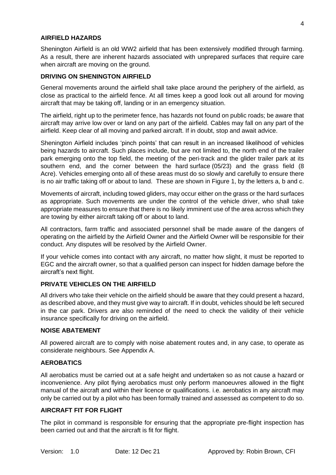#### **AIRFIELD HAZARDS**

Shenington Airfield is an old WW2 airfield that has been extensively modified through farming. As a result, there are inherent hazards associated with unprepared surfaces that require care when aircraft are moving on the ground.

#### **DRIVING ON SHENINGTON AIRFIELD**

General movements around the airfield shall take place around the periphery of the airfield, as close as practical to the airfield fence. At all times keep a good look out all around for moving aircraft that may be taking off, landing or in an emergency situation.

The airfield, right up to the perimeter fence, has hazards not found on public roads; be aware that aircraft may arrive low over or land on any part of the airfield. Cables may fall on any part of the airfield. Keep clear of all moving and parked aircraft. If in doubt, stop and await advice.

Shenington Airfield includes 'pinch points' that can result in an increased likelihood of vehicles being hazards to aircraft. Such places include, but are not limited to, the north end of the trailer park emerging onto the top field, the meeting of the peri-track and the glider trailer park at its southern end, and the corner between the hard surface (05/23) and the grass field (8 Acre). Vehicles emerging onto all of these areas must do so slowly and carefully to ensure there is no air traffic taking off or about to land. These are shown in [Figure 1,](#page-2-1) by the letters a, b and c.

Movements of aircraft, including towed gliders, may occur either on the grass or the hard surfaces as appropriate. Such movements are under the control of the vehicle driver, who shall take appropriate measures to ensure that there is no likely imminent use of the area across which they are towing by either aircraft taking off or about to land.

All contractors, farm traffic and associated personnel shall be made aware of the dangers of operating on the airfield by the Airfield Owner and the Airfield Owner will be responsible for their conduct. Any disputes will be resolved by the Airfield Owner.

If your vehicle comes into contact with any aircraft, no matter how slight, it must be reported to EGC and the aircraft owner, so that a qualified person can inspect for hidden damage before the aircraft's next flight.

#### **PRIVATE VEHICLES ON THE AIRFIELD**

All drivers who take their vehicle on the airfield should be aware that they could present a hazard, as described above, and they must give way to aircraft. If in doubt, vehicles should be left secured in the car park. Drivers are also reminded of the need to check the validity of their vehicle insurance specifically for driving on the airfield.

#### **NOISE ABATEMENT**

All powered aircraft are to comply with noise abatement routes and, in any case, to operate as considerate neighbours. See Appendix A.

#### **AEROBATICS**

All aerobatics must be carried out at a safe height and undertaken so as not cause a hazard or inconvenience. Any pilot flying aerobatics must only perform manoeuvres allowed in the flight manual of the aircraft and within their licence or qualifications. i.e. aerobatics in any aircraft may only be carried out by a pilot who has been formally trained and assessed as competent to do so.

#### **AIRCRAFT FIT FOR FLIGHT**

The pilot in command is responsible for ensuring that the appropriate pre-flight inspection has been carried out and that the aircraft is fit for flight.

4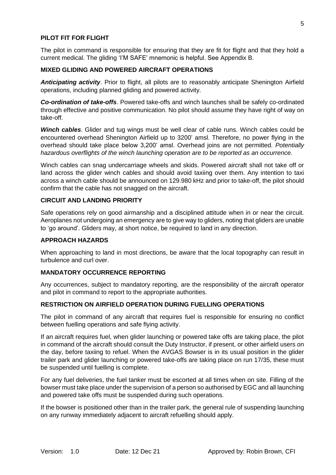#### **PILOT FIT FOR FLIGHT**

The pilot in command is responsible for ensuring that they are fit for flight and that they hold a current medical. The gliding 'I'M SAFE' mnemonic is helpful. See Appendix B.

#### **MIXED GLIDING AND POWERED AIRCRAFT OPERATIONS**

*Anticipating activity*. Prior to flight, all pilots are to reasonably anticipate Shenington Airfield operations, including planned gliding and powered activity.

*Co-ordination of take-offs*. Powered take-offs and winch launches shall be safely co-ordinated through effective and positive communication. No pilot should assume they have right of way on take-off.

*Winch cables*. Glider and tug wings must be well clear of cable runs. Winch cables could be encountered overhead Shenington Airfield up to 3200' amsl. Therefore, no power flying in the overhead should take place below 3,200' amsl. Overhead joins are not permitted. *Potentially hazardous overflights of the winch launching operation are to be reported as an occurrence.*

Winch cables can snag undercarriage wheels and skids. Powered aircraft shall not take off or land across the glider winch cables and should avoid taxiing over them. Any intention to taxi across a winch cable should be announced on 129.980 kHz and prior to take-off, the pilot should confirm that the cable has not snagged on the aircraft.

#### **CIRCUIT AND LANDING PRIORITY**

Safe operations rely on good airmanship and a disciplined attitude when in or near the circuit. Aeroplanes not undergoing an emergency are to give way to gliders, noting that gliders are unable to 'go around'. Gliders may, at short notice, be required to land in any direction.

#### **APPROACH HAZARDS**

When approaching to land in most directions, be aware that the local topography can result in turbulence and curl over.

#### **MANDATORY OCCURRENCE REPORTING**

Any occurrences, subject to mandatory reporting, are the responsibility of the aircraft operator and pilot in command to report to the appropriate authorities.

#### **RESTRICTION ON AIRFIELD OPERATION DURING FUELLING OPERATIONS**

The pilot in command of any aircraft that requires fuel is responsible for ensuring no conflict between fuelling operations and safe flying activity.

If an aircraft requires fuel, when glider launching or powered take offs are taking place, the pilot in command of the aircraft should consult the Duty Instructor, if present, or other airfield users on the day, before taxiing to refuel. When the AVGAS Bowser is in its usual position in the glider trailer park and glider launching or powered take-offs are taking place on run 17/35, these must be suspended until fuelling is complete.

For any fuel deliveries, the fuel tanker must be escorted at all times when on site. Filling of the bowser must take place under the supervision of a person so authorised by EGC and all launching and powered take offs must be suspended during such operations.

If the bowser is positioned other than in the trailer park, the general rule of suspending launching on any runway immediately adjacent to aircraft refuelling should apply.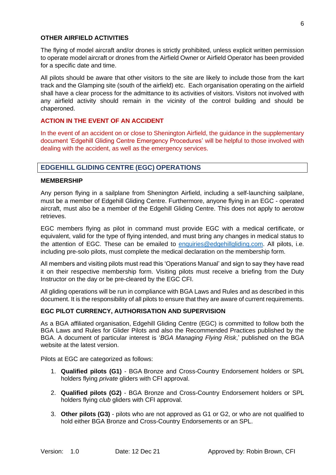#### **OTHER AIRFIELD ACTIVITIES**

The flying of model aircraft and/or drones is strictly prohibited, unless explicit written permission to operate model aircraft or drones from the Airfield Owner or Airfield Operator has been provided for a specific date and time.

All pilots should be aware that other visitors to the site are likely to include those from the kart track and the Glamping site (south of the airfield) etc. Each organisation operating on the airfield shall have a clear process for the admittance to its activities of visitors. Visitors not involved with any airfield activity should remain in the vicinity of the control building and should be chaperoned.

### **ACTION IN THE EVENT OF AN ACCIDENT**

In the event of an accident on or close to Shenington Airfield, the guidance in the supplementary document 'Edgehill Gliding Centre Emergency Procedures' will be helpful to those involved with dealing with the accident, as well as the emergency services.

# <span id="page-6-0"></span>**EDGEHILL GLIDING CENTRE (EGC) OPERATIONS**

#### **MEMBERSHIP**

Any person flying in a sailplane from Shenington Airfield, including a self-launching sailplane, must be a member of Edgehill Gliding Centre. Furthermore, anyone flying in an EGC - operated aircraft, must also be a member of the Edgehill Gliding Centre. This does not apply to aerotow retrieves.

EGC members flying as pilot in command must provide EGC with a medical certificate, or equivalent, valid for the type of flying intended, and must bring any changes in medical status to the attention of EGC. These can be emailed to [enquiries@edgehillgliding.com.](mailto:enquiries@edgehillgliding.com) All pilots, i.e. including pre-solo pilots, must complete the medical declaration on the membership form.

All members and visiting pilots must read this 'Operations Manual' and sign to say they have read it on their respective membership form. Visiting pilots must receive a briefing from the Duty Instructor on the day or be pre-cleared by the EGC CFI.

All gliding operations will be run in compliance with BGA Laws and Rules and as described in this document. It is the responsibility of all pilots to ensure that they are aware of current requirements.

# **EGC PILOT CURRENCY, AUTHORISATION AND SUPERVISION**

As a BGA affiliated organisation, Edgehill Gliding Centre (EGC) is committed to follow both the BGA Laws and Rules for Glider Pilots and also the Recommended Practices published by the BGA. A document of particular interest is '*BGA Managing Flying Risk*,' published on the BGA website at the latest version.

Pilots at EGC are categorized as follows:

- 1. **Qualified pilots (G1)** BGA Bronze and Cross-Country Endorsement holders or SPL holders flying *private* gliders with CFI approval.
- 2. **Qualified pilots (G2)** BGA Bronze and Cross-Country Endorsement holders or SPL holders flying *club* gliders with CFI approval.
- 3. **Other pilots (G3)** pilots who are not approved as G1 or G2, or who are not qualified to hold either BGA Bronze and Cross-Country Endorsements or an SPL.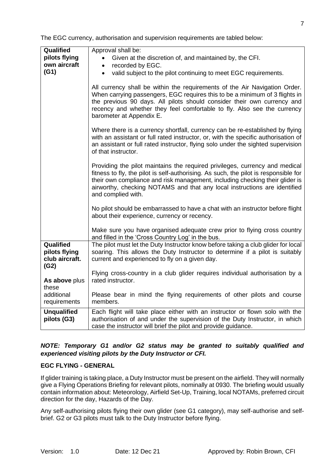| Qualified<br>pilots flying<br>own aircraft<br>(G1)   | Approval shall be:<br>Given at the discretion of, and maintained by, the CFI.<br>recorded by EGC.<br>$\bullet$<br>valid subject to the pilot continuing to meet EGC requirements.<br>$\bullet$                                                                                                                                                         |
|------------------------------------------------------|--------------------------------------------------------------------------------------------------------------------------------------------------------------------------------------------------------------------------------------------------------------------------------------------------------------------------------------------------------|
|                                                      | All currency shall be within the requirements of the Air Navigation Order.<br>When carrying passengers, EGC requires this to be a minimum of 3 flights in<br>the previous 90 days. All pilots should consider their own currency and<br>recency and whether they feel comfortable to fly. Also see the currency<br>barometer at Appendix E.            |
|                                                      | Where there is a currency shortfall, currency can be re-established by flying<br>with an assistant or full rated instructor, or, with the specific authorisation of<br>an assistant or full rated instructor, flying solo under the sighted supervision<br>of that instructor.                                                                         |
|                                                      | Providing the pilot maintains the required privileges, currency and medical<br>fitness to fly, the pilot is self-authorising. As such, the pilot is responsible for<br>their own compliance and risk management, including checking their glider is<br>airworthy, checking NOTAMS and that any local instructions are identified<br>and complied with. |
|                                                      | No pilot should be embarrassed to have a chat with an instructor before flight<br>about their experience, currency or recency.                                                                                                                                                                                                                         |
|                                                      | Make sure you have organised adequate crew prior to flying cross country<br>and filled in the 'Cross Country Log' in the bus.                                                                                                                                                                                                                          |
| Qualified<br>pilots flying<br>club aircraft.<br>(G2) | The pilot must let the Duty Instructor know before taking a club glider for local<br>soaring. This allows the Duty Instructor to determine if a pilot is suitably<br>current and experienced to fly on a given day.                                                                                                                                    |
| As above plus                                        | Flying cross-country in a club glider requires individual authorisation by a<br>rated instructor.                                                                                                                                                                                                                                                      |
| these                                                |                                                                                                                                                                                                                                                                                                                                                        |
| additional<br>requirements                           | Please bear in mind the flying requirements of other pilots and course<br>members.                                                                                                                                                                                                                                                                     |
| <b>Unqualified</b><br>pilots (G3)                    | Each flight will take place either with an instructor or flown solo with the<br>authorisation of and under the supervision of the Duty Instructor, in which<br>case the instructor will brief the pilot and provide guidance.                                                                                                                          |

The EGC currency, authorisation and supervision requirements are tabled below:

#### *NOTE: Temporary G1 and/or G2 status may be granted to suitably qualified and experienced visiting pilots by the Duty Instructor or CFI.*

#### **EGC FLYING - GENERAL**

If glider training is taking place, a Duty Instructor must be present on the airfield. They will normally give a Flying Operations Briefing for relevant pilots, nominally at 0930. The briefing would usually contain information about: Meteorology, Airfield Set-Up, Training, local NOTAMs, preferred circuit direction for the day, Hazards of the Day.

Any self-authorising pilots flying their own glider (see G1 category), may self-authorise and selfbrief. G2 or G3 pilots must talk to the Duty Instructor before flying.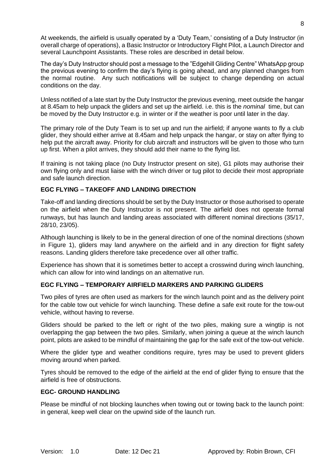At weekends, the airfield is usually operated by a 'Duty Team,' consisting of a Duty Instructor (in overall charge of operations), a Basic Instructor or Introductory Flight Pilot, a Launch Director and several Launchpoint Assistants. These roles are described in detail below.

The day's Duty Instructor should post a message to the "Edgehill Gliding Centre" WhatsApp group the previous evening to confirm the day's flying is going ahead, and any planned changes from the normal routine. Any such notifications will be subject to change depending on actual conditions on the day.

Unless notified of a late start by the Duty Instructor the previous evening, meet outside the hangar at 8.45am to help unpack the gliders and set up the airfield. i.e. this is the *nominal* time, but can be moved by the Duty Instructor e.g. in winter or if the weather is poor until later in the day.

The primary role of the Duty Team is to set up and run the airfield; if anyone wants to fly a club glider, they should either arrive at 8.45am and help unpack the hangar, or stay on after flying to help put the aircraft away. Priority for club aircraft and instructors will be given to those who turn up first. When a pilot arrives, they should add their name to the flying list.

If training is not taking place (no Duty Instructor present on site), G1 pilots may authorise their own flying only and must liaise with the winch driver or tug pilot to decide their most appropriate and safe launch direction.

### **EGC FLYING – TAKEOFF AND LANDING DIRECTION**

Take-off and landing directions should be set by the Duty Instructor or those authorised to operate on the airfield when the Duty Instructor is not present. The airfield does not operate formal runways, but has launch and landing areas associated with different nominal directions (35/17, 28/10, 23/05).

Although launching is likely to be in the general direction of one of the nominal directions (shown in [Figure 1\)](#page-2-1), gliders may land anywhere on the airfield and in any direction for flight safety reasons. Landing gliders therefore take precedence over all other traffic.

Experience has shown that it is sometimes better to accept a crosswind during winch launching, which can allow for into wind landings on an alternative run.

# **EGC FLYING – TEMPORARY AIRFIELD MARKERS AND PARKING GLIDERS**

Two piles of tyres are often used as markers for the winch launch point and as the delivery point for the cable tow out vehicle for winch launching. These define a safe exit route for the tow-out vehicle, without having to reverse.

Gliders should be parked to the left or right of the two piles, making sure a wingtip is not overlapping the gap between the two piles. Similarly, when joining a queue at the winch launch point, pilots are asked to be mindful of maintaining the gap for the safe exit of the tow-out vehicle.

Where the glider type and weather conditions require, tyres may be used to prevent gliders moving around when parked.

Tyres should be removed to the edge of the airfield at the end of glider flying to ensure that the airfield is free of obstructions.

#### **EGC- GROUND HANDLING**

Please be mindful of not blocking launches when towing out or towing back to the launch point: in general, keep well clear on the upwind side of the launch run.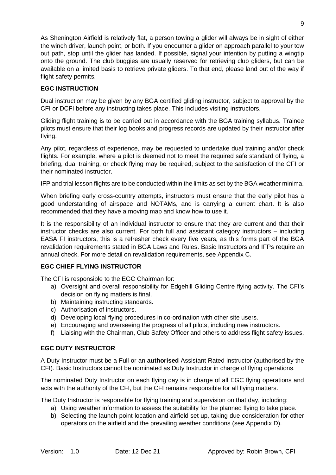As Shenington Airfield is relatively flat, a person towing a glider will always be in sight of either the winch driver, launch point, or both. If you encounter a glider on approach parallel to your tow out path, stop until the glider has landed. If possible, signal your intention by putting a wingtip onto the ground. The club buggies are usually reserved for retrieving club gliders, but can be available on a limited basis to retrieve private gliders. To that end, please land out of the way if flight safety permits.

# **EGC INSTRUCTION**

Dual instruction may be given by any BGA certified gliding instructor, subject to approval by the CFI or DCFI before any instructing takes place. This includes visiting instructors.

Gliding flight training is to be carried out in accordance with the BGA training syllabus. Trainee pilots must ensure that their log books and progress records are updated by their instructor after flying.

Any pilot, regardless of experience, may be requested to undertake dual training and/or check flights. For example, where a pilot is deemed not to meet the required safe standard of flying, a briefing, dual training, or check flying may be required, subject to the satisfaction of the CFI or their nominated instructor.

IFP and trial lesson flights are to be conducted within the limits as set by the BGA weather minima.

When briefing early cross-country attempts, instructors must ensure that the early pilot has a good understanding of airspace and NOTAMs, and is carrying a current chart. It is also recommended that they have a moving map and know how to use it.

It is the responsibility of an individual instructor to ensure that they are current and that their instructor checks are also current. For both full and assistant category instructors – including EASA FI instructors, this is a refresher check every five years, as this forms part of the BGA revalidation requirements stated in BGA Laws and Rules. Basic Instructors and IFPs require an annual check. For more detail on revalidation requirements, see Appendix C.

# **EGC CHIEF FLYING INSTRUCTOR**

The CFI is responsible to the EGC Chairman for:

- a) Oversight and overall responsibility for Edgehill Gliding Centre flying activity. The CFI's decision on flying matters is final.
- b) Maintaining instructing standards.
- c) Authorisation of instructors.
- d) Developing local flying procedures in co-ordination with other site users.
- e) Encouraging and overseeing the progress of all pilots, including new instructors.
- f) Liaising with the Chairman, Club Safety Officer and others to address flight safety issues.

#### **EGC DUTY INSTRUCTOR**

A Duty Instructor must be a Full or an **authorised** Assistant Rated instructor (authorised by the CFI). Basic Instructors cannot be nominated as Duty Instructor in charge of flying operations.

The nominated Duty Instructor on each flying day is in charge of all EGC flying operations and acts with the authority of the CFI, but the CFI remains responsible for all flying matters.

The Duty Instructor is responsible for flying training and supervision on that day, including:

- a) Using weather information to assess the suitability for the planned flying to take place.
- b) Selecting the launch point location and airfield set up, taking due consideration for other operators on the airfield and the prevailing weather conditions (see Appendix D).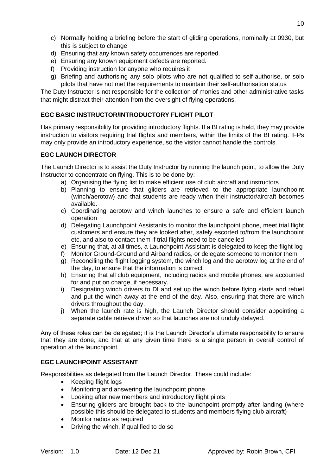- c) Normally holding a briefing before the start of gliding operations, nominally at 0930, but this is subject to change
- d) Ensuring that any known safety occurrences are reported.
- e) Ensuring any known equipment defects are reported.
- f) Providing instruction for anyone who requires it
- g) Briefing and authorising any solo pilots who are not qualified to self-authorise, or solo pilots that have not met the requirements to maintain their self-authorisation status

The Duty Instructor is not responsible for the collection of monies and other administrative tasks that might distract their attention from the oversight of flying operations.

# **EGC BASIC INSTRUCTOR/INTRODUCTORY FLIGHT PILOT**

Has primary responsibility for providing introductory flights. If a BI rating is held, they may provide instruction to visitors requiring trial flights and members, within the limits of the BI rating. IFPs may only provide an introductory experience, so the visitor cannot handle the controls.

# **EGC LAUNCH DIRECTOR**

The Launch Director is to assist the Duty Instructor by running the launch point, to allow the Duty Instructor to concentrate on flying. This is to be done by:

- a) Organising the flying list to make efficient use of club aircraft and instructors
- b) Planning to ensure that gliders are retrieved to the appropriate launchpoint (winch/aerotow) and that students are ready when their instructor/aircraft becomes available.
- c) Coordinating aerotow and winch launches to ensure a safe and efficient launch operation
- d) Delegating Launchpoint Assistants to monitor the launchpoint phone, meet trial flight customers and ensure they are looked after, safely escorted to/from the launchpoint etc, and also to contact them if trial flights need to be cancelled
- e) Ensuring that, at all times, a Launchpoint Assistant is delegated to keep the flight log
- f) Monitor Ground-Ground and Airband radios, or delegate someone to monitor them
- g) Reconciling the flight logging system, the winch log and the aerotow log at the end of the day, to ensure that the information is correct
- h) Ensuring that all club equipment, including radios and mobile phones, are accounted for and put on charge, if necessary.
- i) Designating winch drivers to DI and set up the winch before flying starts and refuel and put the winch away at the end of the day. Also, ensuring that there are winch drivers throughout the day.
- j) When the launch rate is high, the Launch Director should consider appointing a separate cable retrieve driver so that launches are not unduly delayed.

Any of these roles can be delegated; it is the Launch Director's ultimate responsibility to ensure that they are done, and that at any given time there is a single person in overall control of operation at the launchpoint.

# **EGC LAUNCHPOINT ASSISTANT**

Responsibilities as delegated from the Launch Director. These could include:

- Keeping flight logs
- Monitoring and answering the launchpoint phone
- Looking after new members and introductory flight pilots
- Ensuring gliders are brought back to the launchpoint promptly after landing (where possible this should be delegated to students and members flying club aircraft)
- Monitor radios as required
- Driving the winch, if qualified to do so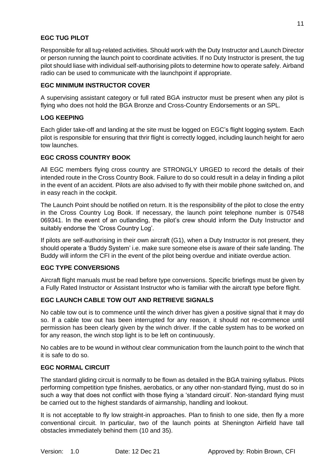# **EGC TUG PILOT**

Responsible for all tug-related activities. Should work with the Duty Instructor and Launch Director or person running the launch point to coordinate activities. If no Duty Instructor is present, the tug pilot should liase with individual self-authorising pilots to determine how to operate safely. Airband radio can be used to communicate with the launchpoint if appropriate.

#### **EGC MINIMUM INSTRUCTOR COVER**

A supervising assistant category or full rated BGA instructor must be present when any pilot is flying who does not hold the BGA Bronze and Cross-Country Endorsements or an SPL.

#### **LOG KEEPING**

Each glider take-off and landing at the site must be logged on EGC's flight logging system. Each pilot is responsible for ensuring that thrir flight is correctly logged, including launch height for aero tow launches.

#### **EGC CROSS COUNTRY BOOK**

All EGC members flying cross country are STRONGLY URGED to record the details of their intended route in the Cross Country Book. Failure to do so could result in a delay in finding a pilot in the event of an accident. Pilots are also advised to fly with their mobile phone switched on, and in easy reach in the cockpit.

The Launch Point should be notified on return. It is the responsibility of the pilot to close the entry in the Cross Country Log Book. If necessary, the launch point telephone number is 07548 069341. In the event of an outlanding, the pilot's crew should inform the Duty Instructor and suitably endorse the 'Cross Country Log'.

If pilots are self-authorising in their own aircraft (G1), when a Duty Instructor is not present, they should operate a 'Buddy System' i.e. make sure someone else is aware of their safe landing. The Buddy will inform the CFI in the event of the pilot being overdue and initiate overdue action.

#### **EGC TYPE CONVERSIONS**

Aircraft flight manuals must be read before type conversions. Specific briefings must be given by a Fully Rated Instructor or Assistant Instructor who is familiar with the aircraft type before flight.

#### **EGC LAUNCH CABLE TOW OUT AND RETRIEVE SIGNALS**

No cable tow out is to commence until the winch driver has given a positive signal that it may do so. If a cable tow out has been interrupted for any reason, it should not re-commence until permission has been clearly given by the winch driver. If the cable system has to be worked on for any reason, the winch stop light is to be left on continuously.

No cables are to be wound in without clear communication from the launch point to the winch that it is safe to do so.

#### **EGC NORMAL CIRCUIT**

The standard gliding circuit is normally to be flown as detailed in the BGA training syllabus. Pilots performing competition type finishes, aerobatics, or any other non-standard flying, must do so in such a way that does not conflict with those flying a 'standard circuit'. Non-standard flying must be carried out to the highest standards of airmanship, handling and lookout.

It is not acceptable to fly low straight-in approaches. Plan to finish to one side, then fly a more conventional circuit. In particular, two of the launch points at Shenington Airfield have tall obstacles immediately behind them (10 and 35).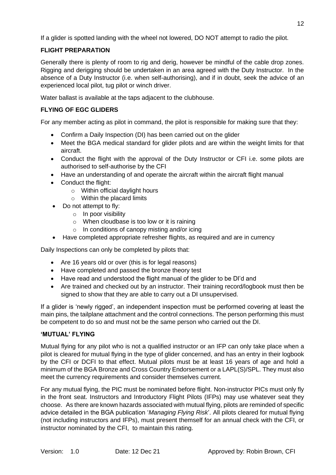If a glider is spotted landing with the wheel not lowered, DO NOT attempt to radio the pilot.

# **FLIGHT PREPARATION**

Generally there is plenty of room to rig and derig, however be mindful of the cable drop zones. Rigging and derigging should be undertaken in an area agreed with the Duty Instructor. In the absence of a Duty Instructor (i.e. when self-authorising), and if in doubt, seek the advice of an experienced local pilot, tug pilot or winch driver.

Water ballast is available at the taps adjacent to the clubhouse.

# **FLYING OF EGC GLIDERS**

For any member acting as pilot in command, the pilot is responsible for making sure that they:

- Confirm a Daily Inspection (DI) has been carried out on the glider
- Meet the BGA medical standard for glider pilots and are within the weight limits for that aircraft.
- Conduct the flight with the approval of the Duty Instructor or CFI i.e. some pilots are authorised to self-authorise by the CFI
- Have an understanding of and operate the aircraft within the aircraft flight manual
- Conduct the flight:
	- o Within official daylight hours
	- o Within the placard limits
- Do not attempt to fly:
	- o In poor visibility
	- o When cloudbase is too low or it is raining
	- o In conditions of canopy misting and/or icing
- Have completed appropriate refresher flights, as required and are in currency

Daily Inspections can only be completed by pilots that:

- Are 16 years old or over (this is for legal reasons)
- Have completed and passed the bronze theory test
- Have read and understood the flight manual of the glider to be DI'd and
- Are trained and checked out by an instructor. Their training record/logbook must then be signed to show that they are able to carry out a DI unsupervised.

If a glider is 'newly rigged', an independent inspection must be performed covering at least the main pins, the tailplane attachment and the control connections. The person performing this must be competent to do so and must not be the same person who carried out the DI.

# **'MUTUAL' FLYING**

Mutual flying for any pilot who is not a qualified instructor or an IFP can only take place when a pilot is cleared for mutual flying in the type of glider concerned, and has an entry in their logbook by the CFI or DCFI to that effect. Mutual pilots must be at least 16 years of age and hold a minimum of the BGA Bronze and Cross Country Endorsement or a LAPL(S)/SPL. They must also meet the currency requirements and consider themselves current.

For any mutual flying, the PIC must be nominated before flight. Non-instructor PICs must only fly in the front seat. Instructors and Introductory Flight Pilots (IFPs) may use whatever seat they choose. As there are known hazards associated with mutual flying, pilots are reminded of specific advice detailed in the BGA publication '*Managing Flying Risk*'. All pilots cleared for mutual flying (not including instructors and IFPs), must present themself for an annual check with the CFI, or instructor nominated by the CFI, to maintain this rating.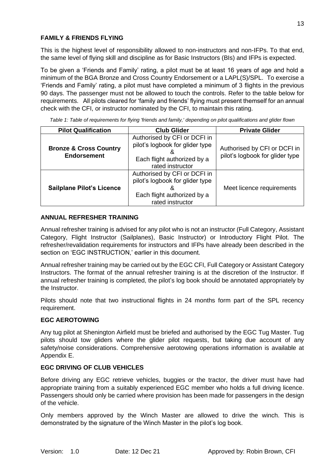# **FAMILY & FRIENDS FLYING**

This is the highest level of responsibility allowed to non-instructors and non-IFPs. To that end, the same level of flying skill and discipline as for Basic Instructors (BIs) and IFPs is expected.

To be given a 'Friends and Family' rating, a pilot must be at least 16 years of age and hold a minimum of the BGA Bronze and Cross Country Endorsement or a LAPL(S)/SPL. To exercise a 'Friends and Family' rating, a pilot must have completed a minimum of 3 flights in the previous 90 days. The passenger must not be allowed to touch the controls. Refer to the table below for requirements. All pilots cleared for 'family and friends' flying must present themself for an annual check with the CFI, or instructor nominated by the CFI, to maintain this rating.

| <b>Pilot Qualification</b>                              | <b>Club Glider</b>                                                                                                 | <b>Private Glider</b>                                           |
|---------------------------------------------------------|--------------------------------------------------------------------------------------------------------------------|-----------------------------------------------------------------|
| <b>Bronze &amp; Cross Country</b><br><b>Endorsement</b> | Authorised by CFI or DCFI in<br>pilot's logbook for glider type<br>Each flight authorized by a<br>rated instructor | Authorised by CFI or DCFI in<br>pilot's logbook for glider type |
| <b>Sailplane Pilot's Licence</b>                        | Authorised by CFI or DCFI in<br>pilot's logbook for glider type<br>Each flight authorized by a<br>rated instructor | Meet licence requirements                                       |

*Table 1: Table of requirements for flying 'friends and family,' depending on pilot qualifications and glider flown*

#### **ANNUAL REFRESHER TRAINING**

Annual refresher training is advised for any pilot who is not an instructor (Full Category, Assistant Category, Flight Instructor (Sailplanes), Basic Instructor) or Introductory Flight Pilot. The refresher/revalidation requirements for instructors and IFPs have already been described in the section on 'EGC INSTRUCTION,' earlier in this document.

Annual refresher training may be carried out by the EGC CFI, Full Category or Assistant Category Instructors. The format of the annual refresher training is at the discretion of the Instructor. If annual refresher training is completed, the pilot's log book should be annotated appropriately by the Instructor.

Pilots should note that two instructional flights in 24 months form part of the SPL recency requirement.

#### **EGC AEROTOWING**

Any tug pilot at Shenington Airfield must be briefed and authorised by the EGC Tug Master. Tug pilots should tow gliders where the glider pilot requests, but taking due account of any safety/noise considerations. Comprehensive aerotowing operations information is available at Appendix E.

#### **EGC DRIVING OF CLUB VEHICLES**

Before driving any EGC retrieve vehicles, buggies or the tractor, the driver must have had appropriate training from a suitably experienced EGC member who holds a full driving licence. Passengers should only be carried where provision has been made for passengers in the design of the vehicle.

Only members approved by the Winch Master are allowed to drive the winch. This is demonstrated by the signature of the Winch Master in the pilot's log book.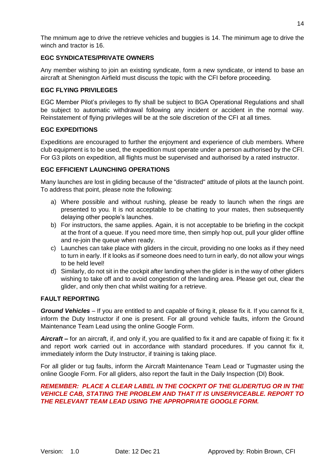The mnimum age to drive the retrieve vehicles and buggies is 14. The minimum age to drive the winch and tractor is 16.

# **EGC SYNDICATES/PRIVATE OWNERS**

Any member wishing to join an existing syndicate, form a new syndicate, or intend to base an aircraft at Shenington Airfield must discuss the topic with the CFI before proceeding.

# **EGC FLYING PRIVILEGES**

EGC Member Pilot's privileges to fly shall be subject to BGA Operational Regulations and shall be subject to automatic withdrawal following any incident or accident in the normal way. Reinstatement of flying privileges will be at the sole discretion of the CFI at all times.

### **EGC EXPEDITIONS**

Expeditions are encouraged to further the enjoyment and experience of club members. Where club equipment is to be used, the expedition must operate under a person authorised by the CFI. For G3 pilots on expedition, all flights must be supervised and authorised by a rated instructor.

### **EGC EFFICIENT LAUNCHING OPERATIONS**

Many launches are lost in gliding because of the "distracted" attitude of pilots at the launch point. To address that point, please note the following:

- a) Where possible and without rushing, please be ready to launch when the rings are presented to you. It is not acceptable to be chatting to your mates, then subsequently delaying other people's launches.
- b) For instructors, the same applies. Again, it is not acceptable to be briefing in the cockpit at the front of a queue. If you need more time, then simply hop out, pull your glider offline and re-join the queue when ready.
- c) Launches can take place with gliders in the circuit, providing no one looks as if they need to turn in early. If it looks as if someone does need to turn in early, do not allow your wings to be held level!
- d) Similarly, do not sit in the cockpit after landing when the glider is in the way of other gliders wishing to take off and to avoid congestion of the landing area. Please get out, clear the glider, and only then chat whilst waiting for a retrieve.

#### **FAULT REPORTING**

*Ground Vehicles* – If you are entitled to and capable of fixing it, please fix it. If you cannot fix it, inform the Duty Instructor if one is present. For all ground vehicle faults, inform the Ground Maintenance Team Lead using the online Google Form.

*Aircraft* **–** for an aircraft, if, and only if, you are qualified to fix it and are capable of fixing it: fix it and report work carried out in accordance with standard procedures. If you cannot fix it, immediately inform the Duty Instructor, if training is taking place.

For all glider or tug faults, inform the Aircraft Maintenance Team Lead or Tugmaster using the online Google Form. For all gliders, also report the fault in the Daily Inspection (DI) Book.

# *REMEMBER: PLACE A CLEAR LABEL IN THE COCKPIT OF THE GLIDER/TUG OR IN THE VEHICLE CAB, STATING THE PROBLEM AND THAT IT IS UNSERVICEABLE. REPORT TO THE RELEVANT TEAM LEAD USING THE APPROPRIATE GOOGLE FORM.*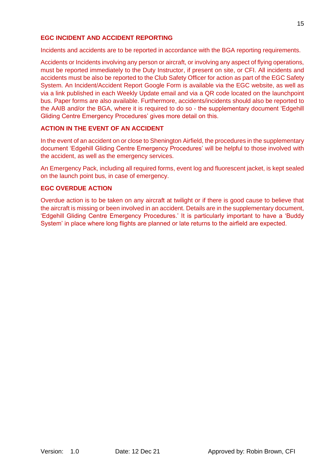# **EGC INCIDENT AND ACCIDENT REPORTING**

Incidents and accidents are to be reported in accordance with the BGA reporting requirements.

Accidents or Incidents involving any person or aircraft, or involving any aspect of flying operations, must be reported immediately to the Duty Instructor, if present on site, or CFI. All incidents and accidents must be also be reported to the Club Safety Officer for action as part of the EGC Safety System. An Incident/Accident Report Google Form is available via the EGC website, as well as via a link published in each Weekly Update email and via a QR code located on the launchpoint bus. Paper forms are also available. Furthermore, accidents/incidents should also be reported to the AAIB and/or the BGA, where it is required to do so - the supplementary document 'Edgehill Gliding Centre Emergency Procedures' gives more detail on this.

#### **ACTION IN THE EVENT OF AN ACCIDENT**

In the event of an accident on or close to Shenington Airfield, the procedures in the supplementary document 'Edgehill Gliding Centre Emergency Procedures' will be helpful to those involved with the accident, as well as the emergency services.

An Emergency Pack, including all required forms, event log and fluorescent jacket, is kept sealed on the launch point bus, in case of emergency.

#### **EGC OVERDUE ACTION**

Overdue action is to be taken on any aircraft at twilight or if there is good cause to believe that the aircraft is missing or been involved in an accident. Details are in the supplementary document, 'Edgehill Gliding Centre Emergency Procedures.' It is particularly important to have a 'Buddy System' in place where long flights are planned or late returns to the airfield are expected.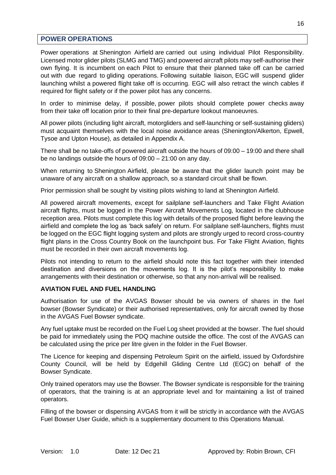# <span id="page-16-0"></span>**POWER OPERATIONS**

Power operations at Shenington Airfield are carried out using individual Pilot Responsibility. Licensed motor glider pilots (SLMG and TMG) and powered aircraft pilots may self-authorise their own flying. It is incumbent on each Pilot to ensure that their planned take off can be carried out with due regard to gliding operations. Following suitable liaison, EGC will suspend glider launching whilst a powered flight take off is occurring. EGC will also retract the winch cables if required for flight safety or if the power pilot has any concerns.

In order to minimise delay, if possible, power pilots should complete power checks away from their take off location prior to their final pre-departure lookout manoeuvres.

All power pilots (including light aircraft, motorgliders and self-launching or self-sustaining gliders) must acquaint themselves with the local noise avoidance areas (Shenington/Alkerton, Epwell, Tysoe and Upton House), as detailed in Appendix A.

There shall be no take-offs of powered aircraft outside the hours of 09:00 – 19:00 and there shall be no landings outside the hours of 09:00 – 21:00 on any day.

When returning to Shenington Airfield, please be aware that the glider launch point may be unaware of any aircraft on a shallow approach, so a standard circuit shall be flown.

Prior permission shall be sought by visiting pilots wishing to land at Shenington Airfield.

All powered aircraft movements, except for sailplane self-launchers and Take Flight Aviation aircraft flights, must be logged in the Power Aircraft Movements Log, located in the clubhouse reception area. Pilots must complete this log with details of the proposed flight before leaving the airfield and complete the log as 'back safely' on return. For sailplane self-launchers, flights must be logged on the EGC flight logging system and pilots are strongly urged to record cross-country flight plans in the Cross Country Book on the launchpoint bus. For Take Flight Aviation, flights must be recorded in their own aircraft movements log.

Pilots not intending to return to the airfield should note this fact together with their intended destination and diversions on the movements log. It is the pilot's responsibility to make arrangements with their destination or otherwise, so that any non-arrival will be realised.

#### **AVIATION FUEL AND FUEL HANDLING**

Authorisation for use of the AVGAS Bowser should be via owners of shares in the fuel bowser (Bowser Syndicate) or their authorised representatives, only for aircraft owned by those in the AVGAS Fuel Bowser syndicate.

Any fuel uptake must be recorded on the Fuel Log sheet provided at the bowser. The fuel should be paid for immediately using the PDQ machine outside the office. The cost of the AVGAS can be calculated using the price per litre given in the folder in the Fuel Bowser.

The Licence for keeping and dispensing Petroleum Spirit on the airfield, issued by Oxfordshire County Council, will be held by Edgehill Gliding Centre Ltd (EGC) on behalf of the Bowser Syndicate.

Only trained operators may use the Bowser. The Bowser syndicate is responsible for the training of operators, that the training is at an appropriate level and for maintaining a list of trained operators.

Filling of the bowser or dispensing AVGAS from it will be strictly in accordance with the AVGAS Fuel Bowser User Guide, which is a supplementary document to this Operations Manual.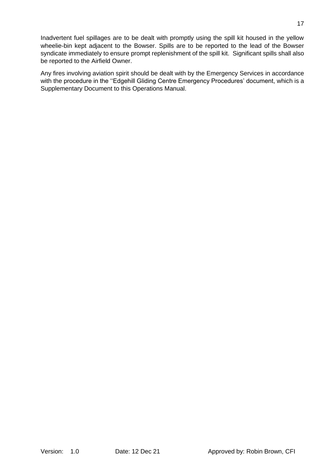Inadvertent fuel spillages are to be dealt with promptly using the spill kit housed in the yellow wheelie-bin kept adjacent to the Bowser. Spills are to be reported to the lead of the Bowser syndicate immediately to ensure prompt replenishment of the spill kit. Significant spills shall also be reported to the Airfield Owner.

Any fires involving aviation spirit should be dealt with by the Emergency Services in accordance with the procedure in the "Edgehill Gliding Centre Emergency Procedures' document, which is a Supplementary Document to this Operations Manual.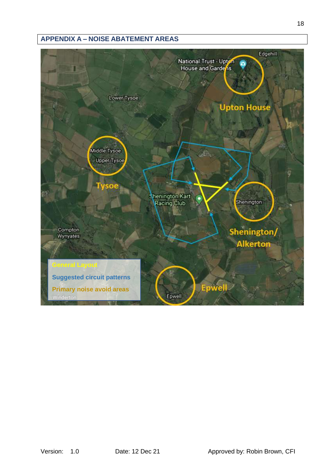# <span id="page-18-0"></span>**APPENDIX A – NOISE ABATEMENT AREAS**

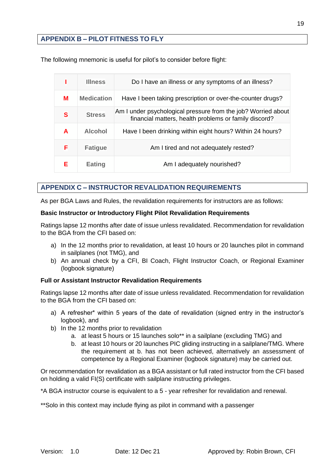# <span id="page-19-0"></span>**APPENDIX B – PILOT FITNESS TO FLY**

The following mnemonic is useful for pilot's to consider before flight:

|   | <b>Illness</b>    | Do I have an illness or any symptoms of an illness?                                                                    |
|---|-------------------|------------------------------------------------------------------------------------------------------------------------|
| м | <b>Medication</b> | Have I been taking prescription or over-the-counter drugs?                                                             |
| S | <b>Stress</b>     | Am I under psychological pressure from the job? Worried about<br>financial matters, health problems or family discord? |
| A | <b>Alcohol</b>    | Have I been drinking within eight hours? Within 24 hours?                                                              |
| F | <b>Fatigue</b>    | Am I tired and not adequately rested?                                                                                  |
| Е | <b>Eating</b>     | Am I adequately nourished?                                                                                             |

# <span id="page-19-1"></span>**APPENDIX C – INSTRUCTOR REVALIDATION REQUIREMENTS**

As per BGA Laws and Rules, the revalidation requirements for instructors are as follows:

#### **Basic Instructor or Introductory Flight Pilot Revalidation Requirements**

Ratings lapse 12 months after date of issue unless revalidated. Recommendation for revalidation to the BGA from the CFI based on:

- a) In the 12 months prior to revalidation, at least 10 hours or 20 launches pilot in command in sailplanes (not TMG), and
- b) An annual check by a CFI, BI Coach, Flight Instructor Coach, or Regional Examiner (logbook signature)

# **Full or Assistant Instructor Revalidation Requirements**

Ratings lapse 12 months after date of issue unless revalidated. Recommendation for revalidation to the BGA from the CFI based on:

- a) A refresher\* within 5 years of the date of revalidation (signed entry in the instructor's logbook), and
- b) In the 12 months prior to revalidation
	- a. at least 5 hours or 15 launches solo\*\* in a sailplane (excluding TMG) and
	- b. at least 10 hours or 20 launches PIC gliding instructing in a sailplane/TMG. Where the requirement at b. has not been achieved, alternatively an assessment of competence by a Regional Examiner (logbook signature) may be carried out.

Or recommendation for revalidation as a BGA assistant or full rated instructor from the CFI based on holding a valid FI(S) certificate with sailplane instructing privileges.

\*A BGA instructor course is equivalent to a 5 - year refresher for revalidation and renewal.

\*\*Solo in this context may include flying as pilot in command with a passenger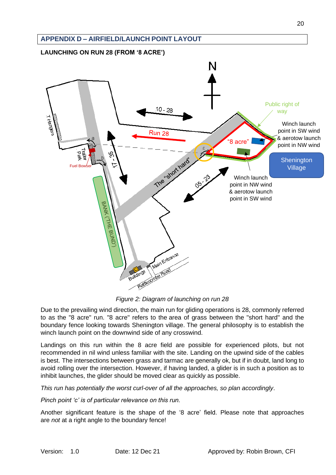<span id="page-20-1"></span><span id="page-20-0"></span>

*Figure 2: Diagram of launching on run 28*

Due to the prevailing wind direction, the main run for gliding operations is 28, commonly referred to as the "8 acre" run. "8 acre" refers to the area of grass between the "short hard" and the boundary fence looking towards Shenington village. The general philosophy is to establish the winch launch point on the downwind side of any crosswind.

Landings on this run within the 8 acre field are possible for experienced pilots, but not recommended in nil wind unless familiar with the site. Landing on the upwind side of the cables is best. The intersections between grass and tarmac are generally ok, but if in doubt, land long to avoid rolling over the intersection. However, if having landed, a glider is in such a position as to inhibit launches, the glider should be moved clear as quickly as possible.

*This run has potentially the worst curl-over of all the approaches, so plan accordingly*.

*Pinch point 'c' is of particular relevance on this run.*

Another significant feature is the shape of the '8 acre' field. Please note that approaches are *not* at a right angle to the boundary fence!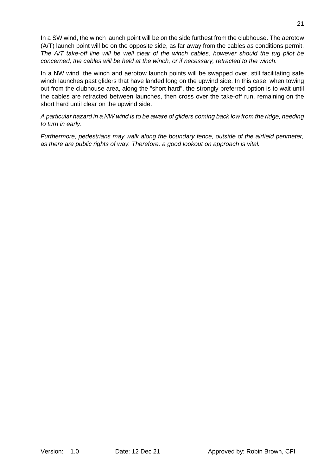In a SW wind, the winch launch point will be on the side furthest from the clubhouse. The aerotow (A/T) launch point will be on the opposite side, as far away from the cables as conditions permit. *The A/T take-off line will be well clear of the winch cables, however should the tug pilot be concerned, the cables will be held at the winch, or if necessary, retracted to the winch.* 

In a NW wind, the winch and aerotow launch points will be swapped over, still facilitating safe winch launches past gliders that have landed long on the upwind side. In this case, when towing out from the clubhouse area, along the "short hard", the strongly preferred option is to wait until the cables are retracted between launches, then cross over the take-off run, remaining on the short hard until clear on the upwind side.

*A particular hazard in a NW wind is to be aware of gliders coming back low from the ridge, needing to turn in early*.

*Furthermore, pedestrians may walk along the boundary fence, outside of the airfield perimeter, as there are public rights of way. Therefore, a good lookout on approach is vital.*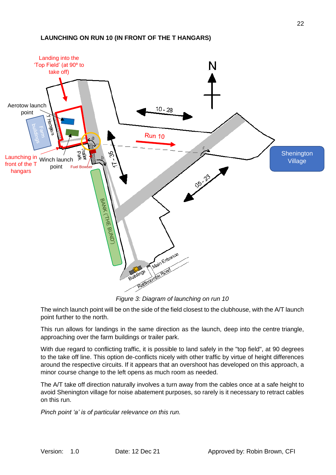#### <span id="page-22-0"></span>**LAUNCHING ON RUN 10 (IN FRONT OF THE T HANGARS)**



*Figure 3: Diagram of launching on run 10*

The winch launch point will be on the side of the field closest to the clubhouse, with the A/T launch point further to the north.

This run allows for landings in the same direction as the launch, deep into the centre triangle, approaching over the farm buildings or trailer park.

With due regard to conflicting traffic, it is possible to land safely in the "top field", at 90 degrees to the take off line. This option de-conflicts nicely with other traffic by virtue of height differences around the respective circuits. If it appears that an overshoot has developed on this approach, a minor course change to the left opens as much room as needed.

The A/T take off direction naturally involves a turn away from the cables once at a safe height to avoid Shenington village for noise abatement purposes, so rarely is it necessary to retract cables on this run.

*Pinch point 'a' is of particular relevance on this run.*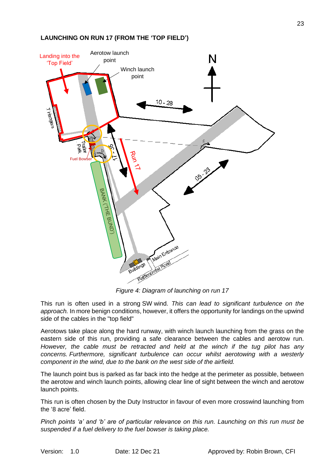#### <span id="page-23-0"></span>**LAUNCHING ON RUN 17 (FROM THE 'TOP FIELD')**



*Figure 4: Diagram of launching on run 17*

This run is often used in a strong SW wind. *This can lead to significant turbulence on the approach.* In more benign conditions, however, it offers the opportunity for landings on the upwind side of the cables in the "top field"

Aerotows take place along the hard runway, with winch launch launching from the grass on the eastern side of this run, providing a safe clearance between the cables and aerotow run. *However, the cable must be retracted and held at the winch if the tug pilot has any concerns. Furthermore, significant turbulence can occur whilst aerotowing with a westerly component in the wind, due to the bank on the west side of the airfield.*

The launch point bus is parked as far back into the hedge at the perimeter as possible, between the aerotow and winch launch points, allowing clear line of sight between the winch and aerotow launch points.

This run is often chosen by the Duty Instructor in favour of even more crosswind launching from the '8 acre' field.

*Pinch points 'a' and 'b' are of particular relevance on this run. Launching on this run must be suspended if a fuel delivery to the fuel bowser is taking place.*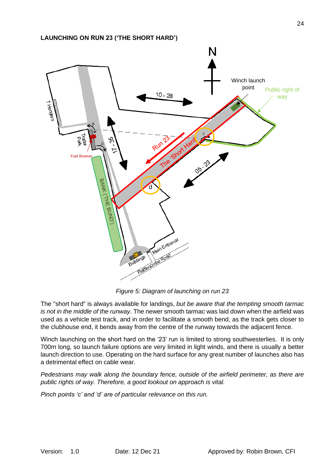<span id="page-24-0"></span>

*Figure 5: Diagram of launching on run 23*

The "short hard" is always available for landings, *but be aware that the tempting smooth tarmac is not in the middle of the runway*. The newer smooth tarmac was laid down when the airfield was used as a vehicle test track, and in order to facilitate a smooth bend, as the track gets closer to the clubhouse end, it bends away from the centre of the runway towards the adjacent fence.

Winch launching on the short hard on the '23' run is limited to strong southwesterlies. It is only 700m long, so launch failure options are very limited in light winds, and there is usually a better launch direction to use. Operating on the hard surface for any great number of launches also has a detrimental effect on cable wear.

*Pedestrians may walk along the boundary fence, outside of the airfield perimeter, as there are public rights of way. Therefore, a good lookout on approach is vital.*

*Pinch points 'c' and 'd' are of particular relevance on this run.*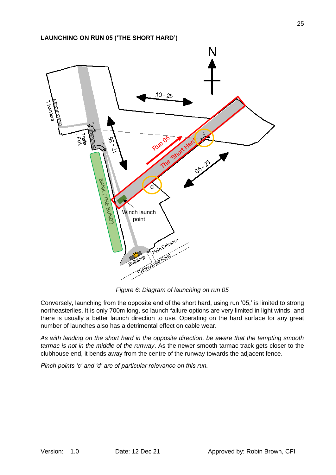<span id="page-25-0"></span>

*Figure 6: Diagram of launching on run 05*

Conversely, launching from the opposite end of the short hard, using run '05,' is limited to strong northeasterlies. It is only 700m long, so launch failure options are very limited in light winds, and there is usually a better launch direction to use. Operating on the hard surface for any great number of launches also has a detrimental effect on cable wear.

*As with landing on the short hard in the opposite direction, be aware that the tempting smooth tarmac is not in the middle of the runway*. As the newer smooth tarmac track gets closer to the clubhouse end, it bends away from the centre of the runway towards the adjacent fence.

*Pinch points 'c' and 'd' are of particular relevance on this run.*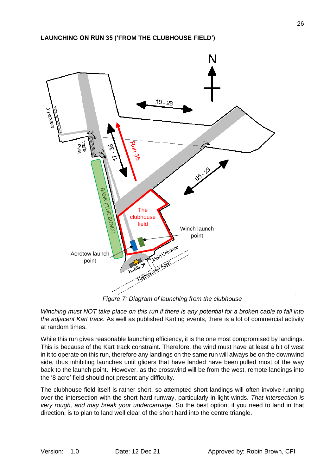<span id="page-26-0"></span>

*Winching must NOT take place on this run if there is any potential for a broken cable to fall into the adjacent Kart track.* As well as published Karting events, there is a lot of commercial activity at random times.

While this run gives reasonable launching efficiency, it is the one most compromised by landings. This is because of the Kart track constraint. Therefore, the wind must have at least a bit of west in it to operate on this run, therefore any landings on the same run will always be on the downwind side, thus inhibiting launches until gliders that have landed have been pulled most of the way back to the launch point. However, as the crosswind will be from the west, remote landings into the '8 acre' field should not present any difficulty.

The clubhouse field itself is rather short, so attempted short landings will often involve running over the intersection with the short hard runway, particularly in light winds. *That intersection is very rough, and may break your undercarriage.* So the best option, if you need to land in that direction, is to plan to land well clear of the short hard into the centre triangle.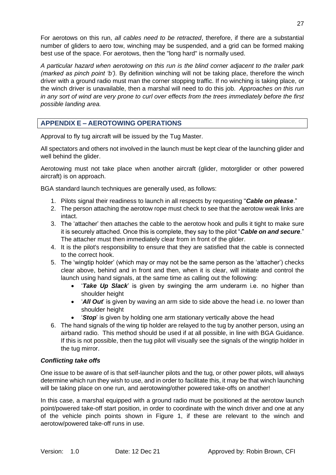For aerotows on this run, *all cables need to be retracted*, therefore, if there are a substantial number of gliders to aero tow, winching may be suspended, and a grid can be formed making best use of the space. For aerotows, then the "long hard" is normally used.

*A particular hazard when aerotowing on this run is the blind corner adjacent to the trailer park (marked as pinch point 'b').* By definition winching will not be taking place, therefore the winch driver with a ground radio must man the corner stopping traffic. If no winching is taking place, or the winch driver is unavailable, then a marshal will need to do this job. *Approaches on this run in any sort of wind are very prone to curl over effects from the trees immediately before the first possible landing area.*

# <span id="page-27-0"></span>**APPENDIX E – AEROTOWING OPERATIONS**

Approval to fly tug aircraft will be issued by the Tug Master.

All spectators and others not involved in the launch must be kept clear of the launching glider and well behind the glider.

Aerotowing must not take place when another aircraft (glider, motorglider or other powered aircraft) is on approach.

BGA standard launch techniques are generally used, as follows:

- 1. Pilots signal their readiness to launch in all respects by requesting "*Cable on please*."
- 2. The person attaching the aerotow rope must check to see that the aerotow weak links are intact.
- 3. The 'attacher' then attaches the cable to the aerotow hook and pulls it tight to make sure it is securely attached. Once this is complete, they say to the pilot "*Cable on and secure*." The attacher must then immediately clear from in front of the glider.
- 4. It is the pilot's responsibility to ensure that they are satisfied that the cable is connected to the correct hook.
- 5. The 'wingtip holder' (which may or may not be the same person as the 'attacher') checks clear above, behind and in front and then, when it is clear, will initiate and control the launch using hand signals, at the same time as calling out the following:
	- '*Take Up Slack*' is given by swinging the arm underarm i.e. no higher than shoulder height
	- '*All Out*' is given by waving an arm side to side above the head i.e. no lower than shoulder height
	- '*Stop*' is given by holding one arm stationary vertically above the head
- 6. The hand signals of the wing tip holder are relayed to the tug by another person, using an airband radio. This method should be used if at all possible, in line with BGA Guidance. If this is not possible, then the tug pilot will visually see the signals of the wingtip holder in the tug mirror.

#### *Conflicting take offs*

One issue to be aware of is that self-launcher pilots and the tug, or other power pilots, will always determine which run they wish to use, and in order to facilitate this, it may be that winch launching will be taking place on one run, and aerotowing/other powered take-offs on another!

In this case, a marshal equipped with a ground radio must be positioned at the aerotow launch point/powered take-off start position, in order to coordinate with the winch driver and one at any of the vehicle pinch points shown in [Figure 1,](#page-2-1) if these are relevant to the winch and aerotow/powered take-off runs in use.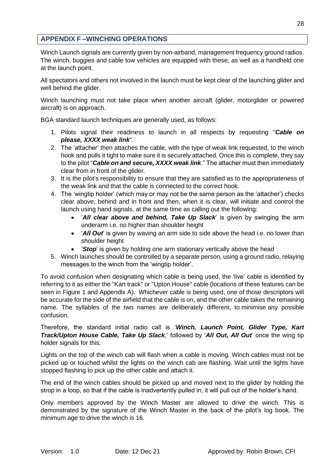# <span id="page-28-0"></span>**APPENDIX F –WINCHING OPERATIONS**

Winch Launch signals are currently given by non-airband, management frequency ground radios. The winch, buggies and cable tow vehicles are equipped with these, as well as a handheld one at the launch point.

All spectators and others not involved in the launch must be kept clear of the launching glider and well behind the glider.

Winch launching must not take place when another aircraft (glider, motorglider or powered aircraft) is on approach.

BGA standard launch techniques are generally used, as follows:

- 1. Pilots signal their readiness to launch in all respects by requesting "*Cable on please, XXXX weak link*".
- 2. The 'attacher' then attaches the cable, with the type of weak link requested, to the winch hook and pulls it tight to make sure it is securely attached. Once this is complete, they say to the pilot "*Cable on and secure, XXXX weak link*." The attacher must then immediately clear from in front of the glider.
- 3. It is the pilot's responsibility to ensure that they are satisfied as to the appropriateness of the weak link and that the cable is connected to the correct hook.
- 4. The 'wingtip holder' (which may or may not be the same person as the 'attacher') checks clear above, behind and in front and then, when it is clear, will initiate and control the launch using hand signals, at the same time as calling out the following:
	- '*All clear above and behind, Take Up Slack*' is given by swinging the arm underarm i.e. no higher than shoulder height
	- '*All Out*' is given by waving an arm side to side above the head i.e. no lower than shoulder height
	- '*Stop*' is given by holding one arm stationary vertically above the head
- 5. Winch launches should be controlled by a separate person, using a ground radio, relaying messages to the winch from the 'wingtip holder'.

To avoid confusion when designating which cable is being used, the 'live' cable is identified by referring to it as either the "Kart track" or "Upton House" cable (locations of these features can be seen in [Figure 1](#page-2-1) and Appendix A). Whichever cable is being used, one of those descriptors will be accurate for the side of the airfield that the cable is on, and the other cable takes the remaining name. The syllables of the two names are deliberately different, to minimise any possible confusion.

Therefore, the standard initial radio call is '*Winch, Launch Point, Glider Type, Kart Track/Upton House Cable, Take Up Slack*,' followed by '*All Out, All Out*' once the wing tip holder signals for this.

Lights on the top of the winch cab will flash when a cable is moving. Winch cables must not be picked up or touched whilst the lights on the winch cab are flashing. Wait until the lights have stopped flashing to pick up the other cable and attach it.

The end of the winch cables should be picked up and moved next to the glider by holding the strop in a loop, so that if the cable is inadvertently pulled in, it will pull out of the holder's hand.

Only members approved by the Winch Master are allowed to drive the winch. This is demonstrated by the signature of the Winch Master in the back of the pilot's log book. The minimum age to drive the winch is 16.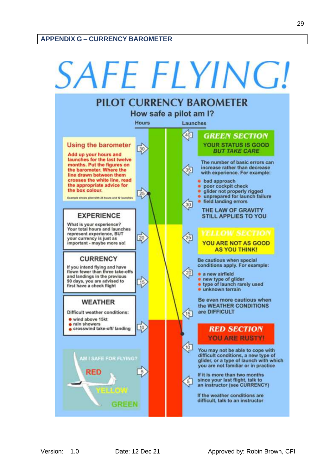<span id="page-29-0"></span>